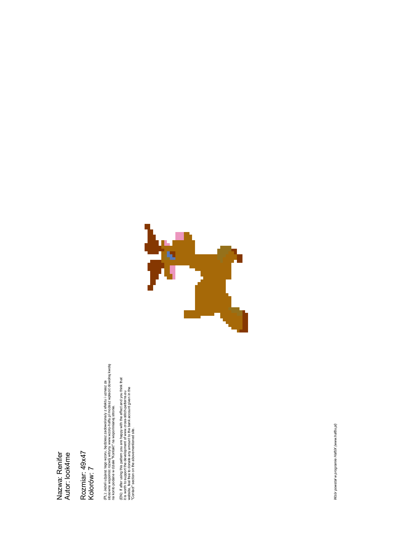## Nazwa: Renifer<br>Autor: look4me Nazwa: Renifer Autor: look4me

Rozmiar: 49x47 Rozmiar: 49x47<br>Kolorów: 7 (PL). Jeżeli użyjesz tego wzoru, będziesz zadowolona/y z efektu i uznasz za<br>stosowne wspomoc rozwój witryny www.wzory-haftu,pl możesz wpłacić dowolną kwotę<br>na konto podane w dziale "Kontakt" na wspomnianej stronie. stosowne wspomóc rozwój witryny www.wzory-haftu.pl moŜesz wpłacić dowolną kwotę (PL): Jeżeli użyjesz tego wzoru, będziesz zadowolona/y z efektu i uznasz za na konto podane w dziale "Kontakt" na wspomnianej stronie.

(EN): If after using this pattern you are happy with the effect and you think that it is worth to support the development of www.cross-stitch-patterns.euror.com/<br>It is worth to support the development of www.cross-stitch-p (EN): If after using this pattern you are happy with the effect and you think that website, feel free to donate any amount to the bank account given in the it is worth to support the development of www.cross-stitch-patterns.eu "Contact" section on the abovementioned site.



Wzór powstał w programie HaftiX (www.haftix.pl) Wzór powstał w programie HaftiX (www.haftix.pl)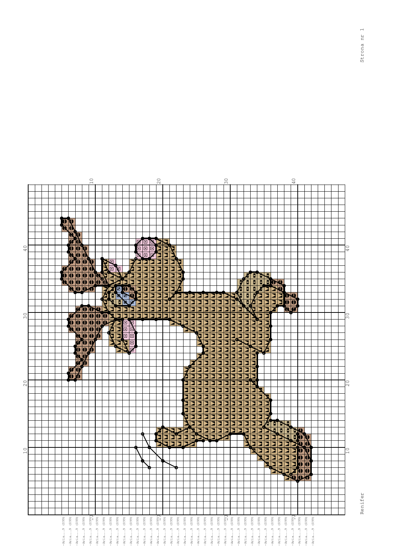

 $\overline{c}$ 

 $\approx$ 

 $\overline{0}$ 

 $\circ$ 

Renifer